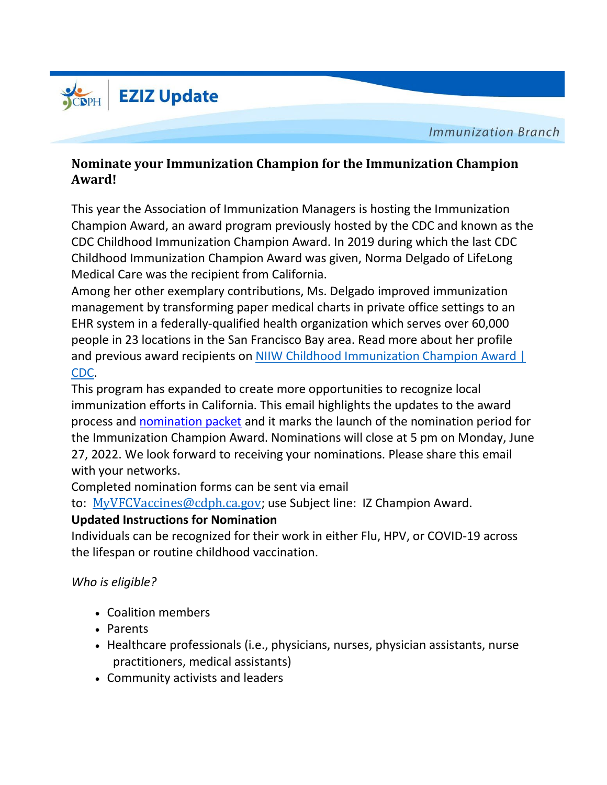

**Immunization Branch** 

## **Nominate your Immunization Champion for the Immunization Champion Award!**

This year the Association of Immunization Managers is hosting the Immunization Champion Award, an award program previously hosted by the CDC and known as the CDC Childhood Immunization Champion Award. In 2019 during which the last CDC Childhood Immunization Champion Award was given, Norma Delgado of LifeLong Medical Care was the recipient from California.

Among her other exemplary contributions, Ms. Delgado improved immunization management by transforming paper medical charts in private office settings to an EHR system in a federally-qualified health organization which serves over 60,000 people in 23 locations in the San Francisco Bay area. Read more about her profile and previous award recipients on NIIW Childhood [Immunization](https://urldefense.com/v3/__https:/www.cdc.gov/vaccines/events/niiw/champions/index.html__;!!AvL6XA!zuADfO7u9acCUbbnifA6Kzxsy5GejdA4w_6XpWKhahxYag7WUph4ERsTFS3qGrEIhjMY5FEXZ-xNS7rRP185iMok9wfI18bDsu22tRvD$) Champion Award | [CDC.](https://urldefense.com/v3/__https:/www.cdc.gov/vaccines/events/niiw/champions/index.html__;!!AvL6XA!zuADfO7u9acCUbbnifA6Kzxsy5GejdA4w_6XpWKhahxYag7WUph4ERsTFS3qGrEIhjMY5FEXZ-xNS7rRP185iMok9wfI18bDsu22tRvD$)

This program has expanded to create more opportunities to recognize local immunization efforts in California. This email highlights the updates to the award process and [nomination](https://www.immunizationmanagers.org/content/uploads/2022/05/2022-AIM-Champion-Award-Program-Nomination-Packet.pdf) packet and it marks the launch of the nomination period for the Immunization Champion Award. Nominations will close at 5 pm on Monday, June 27, 2022. We look forward to receiving your nominations. Please share this email with your networks.

Completed nomination forms can be sent via email

to: [MyVFCVaccines@cdph.ca.gov](mailto:MyVFCVaccines@cdph.ca.gov); use Subject line: IZ Champion Award.

## **Updated Instructions for Nomination**

Individuals can be recognized for their work in either Flu, HPV, or COVID-19 across the lifespan or routine childhood vaccination.

## *Who is eligible?*

- Coalition members
- Parents
- Healthcare professionals (i.e., physicians, nurses, physician assistants, nurse practitioners, medical assistants)
- Community activists and leaders